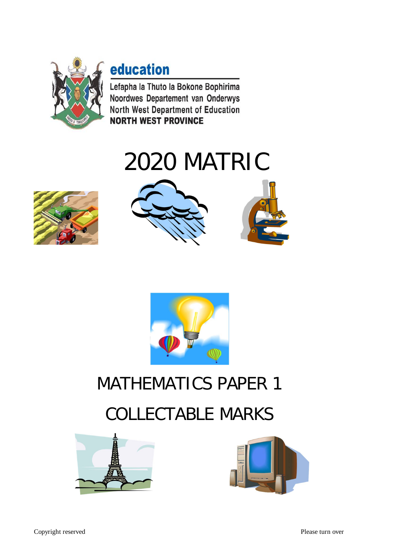

### education

Lefapha la Thuto la Bokone Bophirima Noordwes Departement van Onderwys North West Department of Education **NORTH WEST PROVINCE** 

# 2020 MATRIC









## MATHEMATICS PAPER 1

### COLLECTABLE MARKS



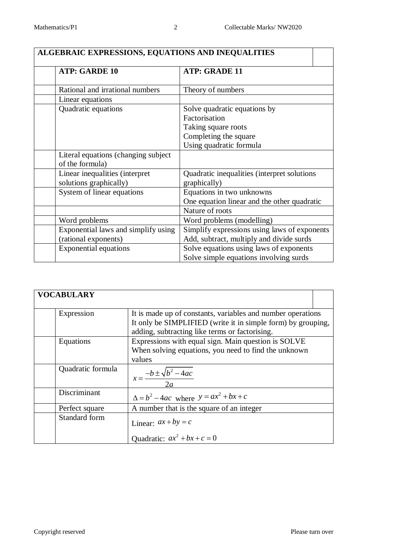| ALGEBRAIC EXPRESSIONS, EQUATIONS AND INEQUALITIES       |                                              |  |
|---------------------------------------------------------|----------------------------------------------|--|
| <b>ATP: GARDE 10</b>                                    | <b>ATP: GRADE 11</b>                         |  |
| Rational and irrational numbers                         | Theory of numbers                            |  |
| Linear equations                                        |                                              |  |
| Quadratic equations                                     | Solve quadratic equations by                 |  |
|                                                         | Factorisation                                |  |
|                                                         | Taking square roots                          |  |
|                                                         | Completing the square                        |  |
|                                                         | Using quadratic formula                      |  |
| Literal equations (changing subject)<br>of the formula) |                                              |  |
| Linear inequalities (interpret                          | Quadratic inequalities (interpret solutions) |  |
| solutions graphically)                                  | graphically)                                 |  |
| System of linear equations                              | Equations in two unknowns                    |  |
|                                                         | One equation linear and the other quadratic  |  |
|                                                         | Nature of roots                              |  |
| Word problems                                           | Word problems (modelling)                    |  |
| Exponential laws and simplify using                     | Simplify expressions using laws of exponents |  |
| (rational exponents)                                    | Add, subtract, multiply and divide surds     |  |
| <b>Exponential equations</b>                            | Solve equations using laws of exponents      |  |
|                                                         | Solve simple equations involving surds       |  |

| <b>VOCABULARY</b> |                                                              |
|-------------------|--------------------------------------------------------------|
| Expression        | It is made up of constants, variables and number operations  |
|                   | It only be SIMPLIFIED (write it in simple form) by grouping, |
|                   | adding, subtracting like terms or factorising.               |
| Equations         | Expressions with equal sign. Main question is SOLVE          |
|                   | When solving equations, you need to find the unknown         |
|                   | values                                                       |
| Quadratic formula | $x = \frac{-b \pm \sqrt{b^2 - 4ac}}{2a}$                     |
| Discriminant      | $\Delta = b^2 - 4ac$ where $y = ax^2 + bx + c$               |
| Perfect square    | A number that is the square of an integer                    |
| Standard form     | Linear: $ax + by = c$                                        |
|                   | Quadratic: $ax^2 + bx + c = 0$                               |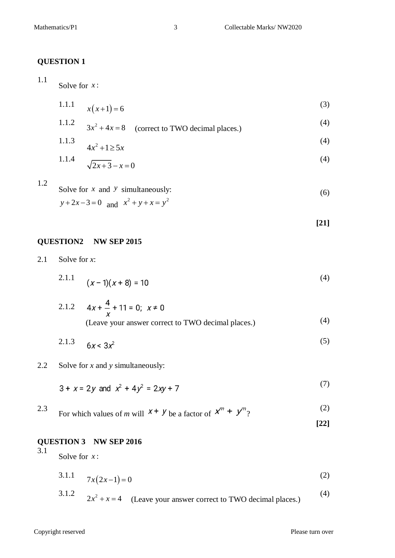#### **QUESTION 1**

#### 1.1

Solve for *x* :

1.1.1 
$$
x(x+1) = 6
$$
 (3)

1.1.2 
$$
3x^2 + 4x = 8
$$
 (correct to TWO decimal places.)  
\n1.1.3  $4x^2 + 1 \ge 5x$  (4)

1.1.4 
$$
\sqrt{2x+3} - x = 0 \tag{4}
$$

1.2

Solve for x and y simultaneously:  
\n
$$
y+2x-3=0
$$
 and  $x^2 + y + x = y^2$  (6)

**[21]**

#### **QUESTION2 NW SEP 2015**

2.1 Solve for *x*:

$$
2.1.1 \quad (x-1)(x+8) = 10 \tag{4}
$$

2.1.2 
$$
4x + \frac{4}{x} + 11 = 0
$$
;  $x \ne 0$   
(Leave your answer correct to TWO decimal places.) (4)

$$
2.1.3 \t 6x < 3x^2 \t (5)
$$

2.2 Solve for *x* and *y* simultaneously:

$$
3 + x = 2y \text{ and } x^2 + 4y^2 = 2xy + 7
$$
 (7)

2.3 For which values of *m* will  $x + y$  be a factor of  $x^m + y^m$ ? (2)

#### **[22]**

#### **QUESTION 3 NW SEP 2016** 3.1

Solve for *x* :

$$
3.1.1 \t7x(2x-1) = 0 \t(2)
$$

3.1.2 
$$
2x^2 + x = 4
$$
 (Leave your answer correct to TWO decimal places.) (4)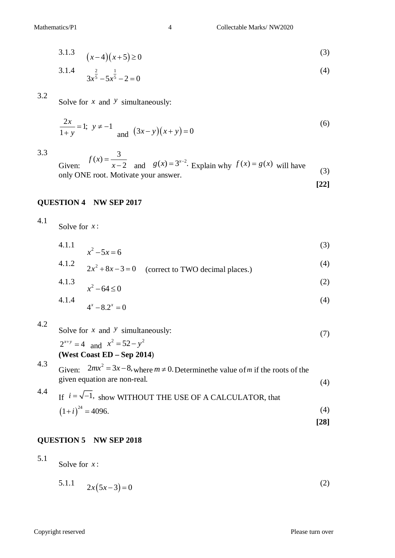$$
(3.1.3 \quad (x-4)(x+5) \ge 0
$$

3.1.4 
$$
3x^{\frac{2}{5}} - 5x^{\frac{1}{5}} - 2 = 0
$$
 (4)

#### 3.2

Solve for *x* and *y* simultaneously:

$$
\frac{2x}{1+y} = 1; \ y \neq -1 \quad \text{and} \ (3x - y)(x + y) = 0 \tag{6}
$$

3.3

Given:  $(x) = \frac{3}{3}$ 2  $f(x)$ *x*  $=$  $\overline{-2}$  and  $g(x) = 3^{x-2}$ . Explain why  $f(x) = g(x)$  will have  $\frac{2\pi \mu \text{m}}{\text{m}^2}$  (3)<br>only ONE root. Motivate your answer.

$$
[22]
$$

#### **QUESTION 4 NW SEP 2017**

4.1 Solve for *x* :

4.1.1 
$$
x^2 - 5x = 6
$$
 (3)

4.1.2 
$$
2x^2 + 8x - 3 = 0
$$
 (correct to TWO decimal places.) (4)

4.1.3 
$$
x^2-64 \le 0
$$
 (2)  
4.1.4 (4)

$$
4^x - 8 \cdot 2^x = 0 \tag{4}
$$

4.2

5.1

Solve for *x* and *y* simultaneously:  $2^{x+y} = 4$  and  $x^2 = 52 - y^2$ (7)

#### **(West Coast ED – Sep 2014**)

4.3 Given:  $2mx^2 = 3x - 8$ , where  $m \neq 0$ . Determine the value of m if the roots of the given equation are non-real. (4) 4.4

<sup>4.4</sup> If 
$$
i = \sqrt{-1}
$$
, show WITHOUT THE USE OF A CALCULATOR, that  
 $(1+i)^{24} = 4096.$  (4)

#### **QUESTION 5 NW SEP 2018**

Solve for *x* :

5.1.1 
$$
2x(5x-3) = 0
$$
 (2)

**[28]**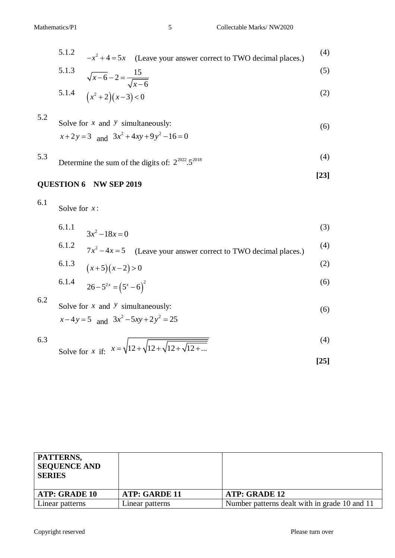5.1.2 
$$
-x^2 + 4 = 5x
$$
 (Leave your answer correct to TWO decimal places.) (4)

5.1.3 
$$
\sqrt{x-6} - 2 = \frac{15}{\sqrt{x-6}}
$$
 (5)

5.1.4 
$$
(x^2+2)(x-3) < 0
$$
 (2)

5.2 Solve for x and y simultaneously:  
\n
$$
x+2y=3
$$
 and 
$$
3x^2 + 4xy + 9y^2 - 16 = 0
$$
\n(6)

5.3 Determine the sum of the digits of: 
$$
2^{2022} \cdot 5^{2018}
$$
 (4)

$$
QUESTION 6 \quad NW SEP 2019 \tag{23}
$$

6.1 Solve for *x* :

6.1.1 
$$
3x^2 - 18x = 0
$$
 (3)

6.1.2 
$$
7x^2-4x=5
$$
 (Leave your answer correct to TWO decimal places.) (4)

6.1.3 
$$
(x+5)(x-2) > 0
$$
 (2)

6.1.4 
$$
26 - 5^{2x} = (5^x - 6)^2
$$
 (6)

6.2

Solve for x and y simultaneously:  
\n
$$
x-4y=5
$$
 and  $3x^2-5xy+2y^2 = 25$  (6)

6.3 Solve for x if: 
$$
x = \sqrt{12 + \sqrt{12 + \sqrt{12 + \sqrt{12 + \dots}}}}
$$
 (4)

$$
[25]
$$

| PATTERNS,<br><b>SEQUENCE AND</b><br><b>SERIES</b> |                      |                                               |
|---------------------------------------------------|----------------------|-----------------------------------------------|
| <b>ATP: GRADE 10</b>                              | <b>ATP: GARDE 11</b> | ATP: GRADE 12                                 |
| Linear patterns                                   | Linear patterns      | Number patterns dealt with in grade 10 and 11 |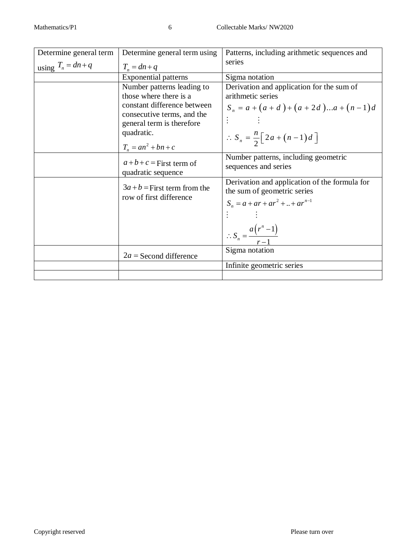| Determine general term | Determine general term using                                                                                                                                                          | Patterns, including arithmetic sequences and                                                                                                                                |
|------------------------|---------------------------------------------------------------------------------------------------------------------------------------------------------------------------------------|-----------------------------------------------------------------------------------------------------------------------------------------------------------------------------|
| using $T_n = dn + q$   | $T_n = dn + q$                                                                                                                                                                        | series                                                                                                                                                                      |
|                        | <b>Exponential patterns</b>                                                                                                                                                           | Sigma notation                                                                                                                                                              |
|                        | Number patterns leading to<br>those where there is a<br>constant difference between<br>consecutive terms, and the<br>general term is therefore<br>quadratic.<br>$T_n = an^2 + bn + c$ | Derivation and application for the sum of<br>arithmetic series<br>$S_n = a + (a + d) + (a + 2d) \dots a + (n-1)d$<br>$\therefore S_n = \frac{n}{2} \big[ 2a + (n-1)d \big]$ |
|                        | $a+b+c$ = First term of<br>quadratic sequence                                                                                                                                         | Number patterns, including geometric<br>sequences and series                                                                                                                |
|                        | $3a + b$ = First term from the<br>row of first difference                                                                                                                             | Derivation and application of the formula for<br>the sum of geometric series<br>$S_n = a + ar + ar^2 +  + ar^{n-1}$<br>$\therefore S_n = \frac{a(r^n - 1)}{r - 1}$          |
|                        | $2a$ = Second difference                                                                                                                                                              | Sigma notation                                                                                                                                                              |
|                        |                                                                                                                                                                                       | Infinite geometric series                                                                                                                                                   |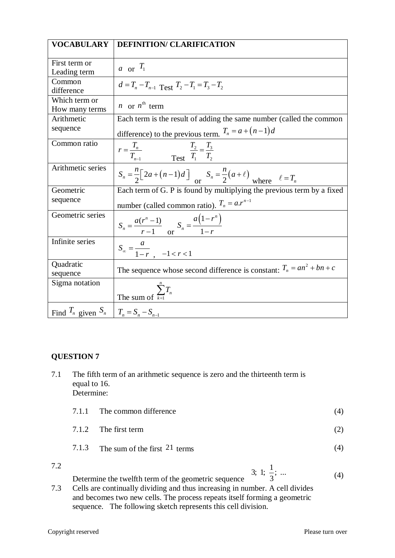| <b>VOCABULARY</b>                            | <b>DEFINITION/ CLARIFICATION</b>                                                                    |
|----------------------------------------------|-----------------------------------------------------------------------------------------------------|
|                                              |                                                                                                     |
| First term or<br>Leading term                | a or $T_1$                                                                                          |
| Common<br>difference                         | $d = T_n - T_{n-1}$ Test $T_2 - T_1 = T_3 - T_2$                                                    |
| Which term or<br>How many terms              | <i>n</i> or $n^{\text{th}}$ term                                                                    |
| Arithmetic                                   | Each term is the result of adding the same number (called the common                                |
| sequence                                     | difference) to the previous term. $T_n = a + (n-1)d$                                                |
| Common ratio                                 | $r = \frac{T_n}{T_{n-1}}$ $\frac{T_2}{T_1} = \frac{T_3}{T_2}$                                       |
| Arithmetic series                            | $S_n = \frac{n}{2} \left[ 2a + (n-1)d \right]$ or $S_n = \frac{n}{2} (a + \ell)$ where $\ell = T_n$ |
| Geometric                                    | Each term of $G$ . $\overline{P}$ is found by multiplying the previous term by a fixed              |
| sequence                                     | number (called common ratio). $T_n = a.r^{n-1}$                                                     |
| Geometric series                             | $S_n = \frac{a(r^n - 1)}{r - 1}$ or $S_n = \frac{a(1 - r^n)}{1 - r}$                                |
| Infinite series                              | $S_{\infty} = \frac{a}{1 - r}$ , $-1 < r < 1$                                                       |
| Quadratic<br>sequence                        | The sequence whose second difference is constant: $T_n = an^2 + bn + c$                             |
| Sigma notation                               | The sum of $\sum_{k=1}^{n} T_n$                                                                     |
| Find $T_n$ given $S_n$ $T_n = S_n - S_{n-1}$ |                                                                                                     |

#### **QUESTION 7**

| The fifth term of an arithmetic sequence is zero and the thirteenth term is |
|-----------------------------------------------------------------------------|
| equal to 16.                                                                |
| Determine:                                                                  |

| 7.1.1 The common difference |
|-----------------------------|

- 7.1.2 The first term (2)
- 7.1.3 The sum of the first 21 terms (4)
- 7.2

(4)

3; 1;  $\frac{1}{2}$ ; ...

Determine the twelfth term of the geometric sequence 3 7.3 Cells are continually dividing and thus increasing in number. A cell divides and becomes two new cells. The process repeats itself forming a geometric sequence. The following sketch represents this cell division.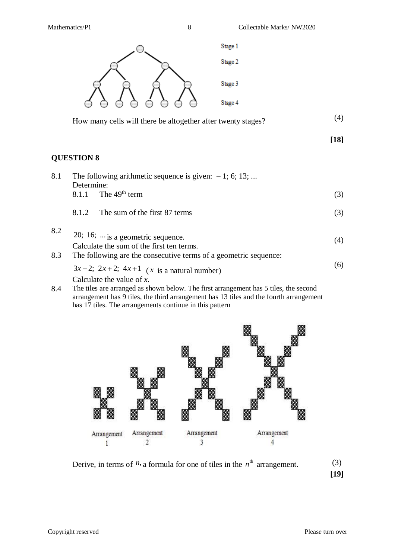Mathematics/P1 8 Collectable Marks/ NW2020



| How many cells will there be altogether after twenty stages? |  |  |
|--------------------------------------------------------------|--|--|
|--------------------------------------------------------------|--|--|

#### **[18]**

#### **QUESTION 8**

| 8.1 | The following arithmetic sequence is given: $-1$ ; 6; 13;<br>Determine: |     |  |
|-----|-------------------------------------------------------------------------|-----|--|
|     | 8.1.1 The $49th$ term                                                   | (3) |  |
|     | The sum of the first 87 terms<br>8.1.2                                  | (3) |  |
| 8.2 | 20; 16; $\ldots$ is a geometric sequence.                               |     |  |
|     | Calculate the sum of the first ten terms.                               | (4) |  |
| 8.3 | The following are the consecutive terms of a geometric sequence:        |     |  |
|     | $3x-2$ ; $2x+2$ ; $4x+1$ (x is a natural number)                        | (6) |  |
|     | Calculate the value of $x$ .                                            |     |  |

8.4 The tiles are arranged as shown below. The first arrangement has 5 tiles, the second arrangement has 9 tiles, the third arrangement has 13 tiles and the fourth arrangement has 17 tiles. The arrangements continue in this pattern



Derive, in terms of  $n$ , a formula for one of tiles in the  $n^{\text{th}}$  arrangement. (3)

**[19]**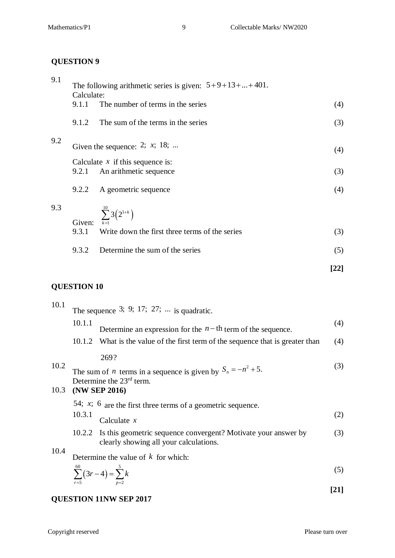#### **QUESTION 9**

| 9.1 | Calculate: | The following arithmetic series is given: $5+9+13++401$ .    |      |
|-----|------------|--------------------------------------------------------------|------|
|     | 9.1.1      | The number of terms in the series                            | (4)  |
|     | 9.1.2      | The sum of the terms in the series                           | (3)  |
| 9.2 |            | Given the sequence: 2; $x$ ; 18;                             | (4)  |
|     | 9.2.1      | Calculate $x$ if this sequence is:<br>An arithmetic sequence | (3)  |
|     | 9.2.2      | A geometric sequence                                         | (4)  |
| 9.3 | Given:     | $\sum_{k=1}^{10} 3(2^{1+k})$                                 |      |
|     | 9.3.1      | Write down the first three terms of the series               | (3)  |
|     | 9.3.2      | Determine the sum of the series                              | (5)  |
|     |            |                                                              | [22] |

#### **QUESTION 10**

| 10.1 | The sequence 3; 9; 17; 27; $\dots$ is quadratic. |                                                                                                          |      |
|------|--------------------------------------------------|----------------------------------------------------------------------------------------------------------|------|
|      | 10.1.1                                           | Determine an expression for the $n - th$ term of the sequence.                                           | (4)  |
|      |                                                  | 10.1.2 What is the value of the first term of the sequence that is greater than                          | (4)  |
|      |                                                  | 269?                                                                                                     |      |
| 10.2 |                                                  | The sum of <i>n</i> terms in a sequence is given by $S_n = -n^2 + 5$ .                                   | (3)  |
|      | Determine the $23rd$ term.<br>10.3 (NW SEP 2016) |                                                                                                          |      |
|      |                                                  | 54; $x$ ; 6 are the first three terms of a geometric sequence.                                           |      |
|      | 10.3.1                                           | Calculate $x$                                                                                            | (2)  |
|      | 10.2.2                                           | Is this geometric sequence convergent? Motivate your answer by<br>clearly showing all your calculations. | (3)  |
| 10.4 |                                                  | Determine the value of $k$ for which:                                                                    |      |
|      |                                                  | $\sum_{r=5}^{60} (3r-4) = \sum_{p=2}^{3} k$                                                              | (5)  |
|      |                                                  |                                                                                                          | [21] |

#### **QUESTION 11NW SEP 2017**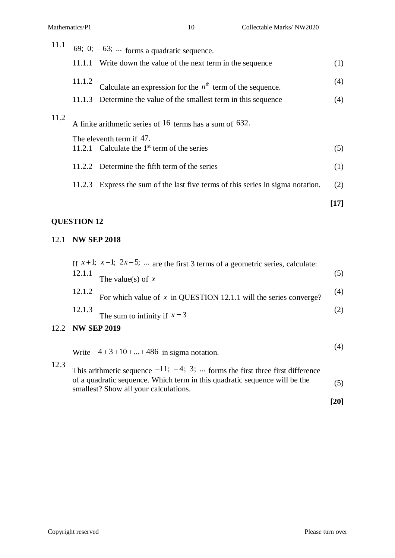| 11.1                                                                                         |        | 69; 0; $-63$ ;  forms a quadratic sequence.                                     |        |
|----------------------------------------------------------------------------------------------|--------|---------------------------------------------------------------------------------|--------|
|                                                                                              |        | 11.1.1 Write down the value of the next term in the sequence                    | (1)    |
|                                                                                              | 11.1.2 | Calculate an expression for the $n^{\text{th}}$ term of the sequence.           | (4)    |
|                                                                                              | 11.1.3 | Determine the value of the smallest term in this sequence                       | (4)    |
| 11.2<br>A finite arithmetic series of 16 terms has a sum of 632.<br>The eleventh term if 47. |        |                                                                                 |        |
|                                                                                              |        | 11.2.1 Calculate the $1st$ term of the series                                   | (5)    |
|                                                                                              |        | 11.2.2 Determine the fifth term of the series                                   | (1)    |
|                                                                                              |        | 11.2.3 Express the sum of the last five terms of this series in sigma notation. | (2)    |
|                                                                                              |        |                                                                                 | $[17]$ |

#### **QUESTION 12**

12.2

#### 12.1 **NW SEP 2018**

|                    | If $x+1$ ; $x-1$ ; $2x-5$ ;  are the first 3 terms of a geometric series, calculate:                                                                                                                                                                                                                               |     |
|--------------------|--------------------------------------------------------------------------------------------------------------------------------------------------------------------------------------------------------------------------------------------------------------------------------------------------------------------|-----|
| 12.1.1             | The value(s) of $x$                                                                                                                                                                                                                                                                                                | (5) |
| 12.1.2             | For which value of $x$ in QUESTION 12.1.1 will the series converge?                                                                                                                                                                                                                                                | (4) |
| 12.1.3             | The sum to infinity if $x = 3$                                                                                                                                                                                                                                                                                     | (2) |
| <b>NW SEP 2019</b> |                                                                                                                                                                                                                                                                                                                    |     |
|                    | $\sqrt{2}$ $\sqrt{2}$ $\sqrt{2}$ $\sqrt{2}$ $\sqrt{2}$ $\sqrt{2}$ $\sqrt{2}$ $\sqrt{2}$ $\sqrt{2}$ $\sqrt{2}$ $\sqrt{2}$ $\sqrt{2}$ $\sqrt{2}$ $\sqrt{2}$ $\sqrt{2}$ $\sqrt{2}$ $\sqrt{2}$ $\sqrt{2}$ $\sqrt{2}$ $\sqrt{2}$ $\sqrt{2}$ $\sqrt{2}$ $\sqrt{2}$ $\sqrt{2}$ $\sqrt{2}$ $\sqrt{2}$ $\sqrt{2}$ $\sqrt{2$ |     |

Write  $-4 + 3 + 10 + ... + 486$  in sigma notation.

12.3 This arithmetic sequence  $-11$ ;  $-4$ ; 3; ... forms the first three first difference of a quadratic sequence. Which term in this quadratic sequence will be the smallest? Show all your calculations. (5)

**[20]**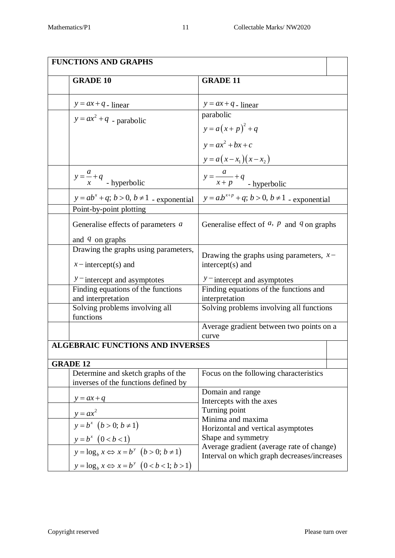| <b>FUNCTIONS AND GRAPHS</b> |                                                                            |                                                                                          |  |
|-----------------------------|----------------------------------------------------------------------------|------------------------------------------------------------------------------------------|--|
|                             | <b>GRADE 10</b>                                                            | <b>GRADE 11</b>                                                                          |  |
|                             | $y = ax + q$ - linear                                                      | $y = ax + q$ - linear                                                                    |  |
|                             | $y = ax^2 + q$ - parabolic                                                 | parabolic<br>$y = a(x+p)^{2} + q$                                                        |  |
|                             |                                                                            | $y = ax^2 + bx + c$<br>$y = a(x - x_1)(x - x_2)$                                         |  |
|                             | $y = \frac{a}{x} + q$ - hyperbolic                                         | $y = \frac{a}{x+p} + q$<br>- hyperbolic                                                  |  |
|                             | $y = ab^x + q$ ; $b > 0$ , $b \ne 1$ - exponential                         | $y = ab^{x+p} + q$ ; $b > 0$ , $b \ne 1$ - exponential                                   |  |
|                             | Point-by-point plotting                                                    |                                                                                          |  |
|                             | Generalise effects of parameters a                                         | Generalise effect of $a$ , $p$ and $q$ on graphs                                         |  |
|                             | and $q$ on graphs                                                          |                                                                                          |  |
|                             | Drawing the graphs using parameters,<br>$x$ – intercept(s) and             | Drawing the graphs using parameters, $x-$<br>$intercept(s)$ and                          |  |
|                             | $y$ – intercept and asymptotes                                             | $y$ – intercept and asymptotes                                                           |  |
|                             | Finding equations of the functions                                         | Finding equations of the functions and                                                   |  |
|                             | and interpretation                                                         | interpretation                                                                           |  |
|                             | Solving problems involving all<br>functions                                | Solving problems involving all functions                                                 |  |
|                             |                                                                            | Average gradient between two points on a<br>curve                                        |  |
|                             | <b>ALGEBRAIC FUNCTIONS AND INVERSES</b>                                    |                                                                                          |  |
| <b>GRADE 12</b>             |                                                                            |                                                                                          |  |
|                             | Determine and sketch graphs of the<br>inverses of the functions defined by | Focus on the following characteristics                                                   |  |
|                             |                                                                            | Domain and range                                                                         |  |
|                             | $y = ax + q$                                                               | Intercepts with the axes<br>Turning point                                                |  |
|                             | $y = ax^2$                                                                 | Minima and maxima                                                                        |  |
|                             | $y = b^x$ $(b > 0; b \ne 1)$                                               | Horizontal and vertical asymptotes                                                       |  |
|                             | $y = b^x \ (0 < b < 1)$                                                    | Shape and symmetry                                                                       |  |
|                             | $y = \log_b x \Leftrightarrow x = b^y \ (b > 0; b \neq 1)$                 | Average gradient (average rate of change)<br>Interval on which graph decreases/increases |  |
|                             | $y = \log_b x \Longleftrightarrow x = b^y \left(0 < b < 1; b > 1\right)$   |                                                                                          |  |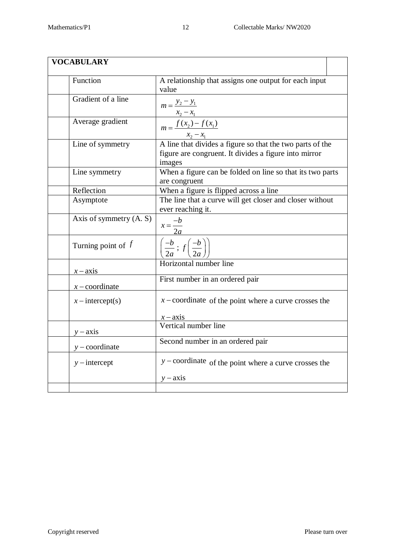| <b>VOCABULARY</b>         |                                                                                                                                                               |
|---------------------------|---------------------------------------------------------------------------------------------------------------------------------------------------------------|
| Function                  | A relationship that assigns one output for each input<br>value                                                                                                |
| Gradient of a line        | $m = \frac{y_2 - y_1}{y_2 - y_1}$<br>$x_2 - x_1$                                                                                                              |
| Average gradient          | $m = \frac{f(x_2) - f(x_1)}{g(x_2) - g(x_1)}$                                                                                                                 |
| Line of symmetry          | $\frac{x_2 - x_1}{x_1 + x_2}$<br>A line that divides a figure so that the two parts of the<br>figure are congruent. It divides a figure into mirror<br>images |
| Line symmetry             | When a figure can be folded on line so that its two parts<br>are congruent                                                                                    |
| Reflection                | When a figure is flipped across a line                                                                                                                        |
| Asymptote                 | The line that a curve will get closer and closer without<br>ever reaching it.                                                                                 |
| Axis of symmetry $(A, S)$ | $x = \frac{-b}{2a}$                                                                                                                                           |
| Turning point of $f$      | $\left(\frac{-b}{2a}\,;\,f\left(\frac{-b}{2a}\right)\right)$                                                                                                  |
| $x - axis$                | Horizontal number line                                                                                                                                        |
| $x$ – coordinate          | First number in an ordered pair                                                                                                                               |
| $x$ – intercept(s)        | $x$ – coordinate of the point where a curve crosses the                                                                                                       |
|                           | $x - axis$<br>Vertical number line                                                                                                                            |
| $y - axis$                |                                                                                                                                                               |
| $y$ – coordinate          | Second number in an ordered pair                                                                                                                              |
| $y$ – intercept           | $y$ – coordinate of the point where a curve crosses the                                                                                                       |
|                           | $y - axis$                                                                                                                                                    |
|                           |                                                                                                                                                               |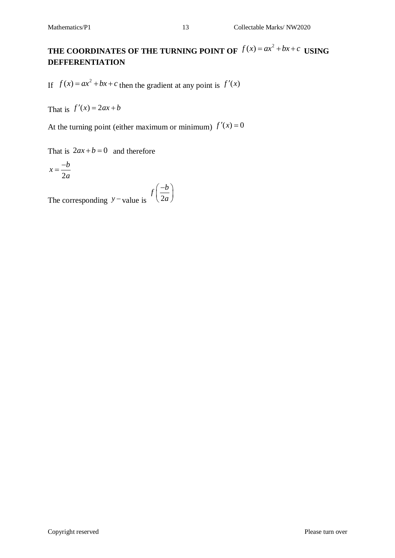If  $f(x) = ax^2 + bx + c$  then the gradient at any point is  $f'(x)$ 

That is  $f'(x) = 2ax + b$ 

At the turning point (either maximum or minimum)  $f'(x) = 0$ 

That is  $2ax + b = 0$  and therefore

$$
x = \frac{-b}{2a}
$$

The corresponding  $y$  – value is  $(2)$  $f\left(\frac{-b}{2}\right)$ *a*  $(-b)$  $\left(\overline{2a}\right)$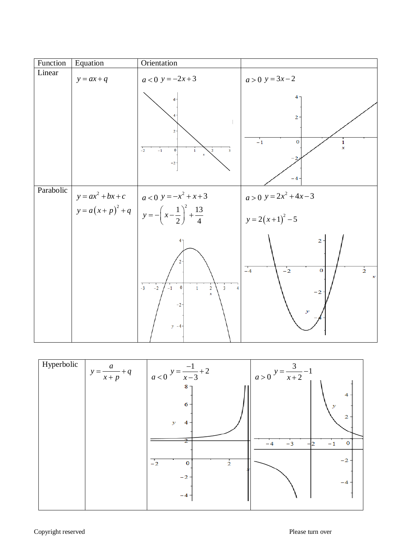| Function  | Equation     | Orientation                                                                                                                                            |                                                                                      |
|-----------|--------------|--------------------------------------------------------------------------------------------------------------------------------------------------------|--------------------------------------------------------------------------------------|
| Linear    | $y = ax + q$ | $a < 0$ $y = -2x + 3$                                                                                                                                  | $a > 0$ $y = 3x-2$                                                                   |
|           |              | 6<br>$\overline{2}$<br>$\overline{-2}$<br>$-1$<br>$\mathbf 0$<br>$\overline{\mathbf{3}}$<br>$\mathbf{1}$<br>$^{\rm -2}$                                | 4.<br>2 <sup>1</sup><br>$-1$<br>$\mathbf 0$<br>$\frac{1}{x}$<br>$-4$                 |
| Parabolic |              |                                                                                                                                                        | $a > 0$ $y = 2x^2 + 4x - 3$                                                          |
|           |              | $y = ax^2 + bx + c$<br>$y = a(x+p)^2 + q$<br>$y = -\left(x-\frac{1}{2}\right)^2 + \frac{13}{4}$                                                        | $y = 2(x+1)^2 - 5$                                                                   |
|           |              | $\frac{1}{3}$<br>$-2$<br>$\mathbf{0}$<br>$\overline{2}$<br>$-1$<br>$\overline{3}$<br>$\mathbf{1}$<br>$\overline{4}$<br>$\mathbf{x}$<br>$-2$<br>$y - 4$ | 2<br>$-4$<br>$\frac{1}{2}$<br>$-2$<br>0<br>$\boldsymbol{x}$<br>$-2$<br>$\mathcal{Y}$ |

| Hyperbolic | $y = \frac{a}{x+p} + q$ | $a < 0$ <sup>y = <math>\frac{-1}{x-3}</math> + 2</sup> | $a > 0$ $y = \frac{3}{x+2} - 1$      |
|------------|-------------------------|--------------------------------------------------------|--------------------------------------|
|            |                         | 8 <sub>1</sub>                                         | 4                                    |
|            |                         | $6 -$<br>$\mathcal{Y}$<br>4                            | $\mathcal{Y}$<br>2                   |
|            |                         | 2                                                      | $-3$<br>$\mathbf{o}$<br>$-1$<br>$-4$ |
|            |                         | $-2$<br>$\frac{1}{2}$<br>$\mathbf 0$                   | $-2$                                 |
|            |                         | $-2-$                                                  | $-4$                                 |
|            |                         | $-4 -$                                                 |                                      |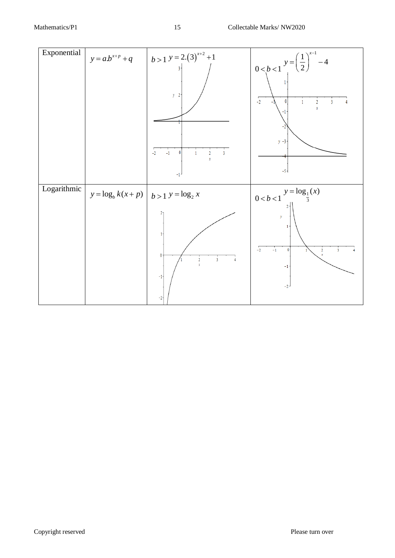| Exponential | $y = a.b^{x+p} + q$                              | $\left  b > 1 \right.$ y = 2.(3) <sup>x+2</sup> +1<br>$\overline{\mathbf{3}}$<br>$y \quad 2$<br>$-1$<br>$\theta$<br>$-2$<br>2<br>$\mathbf{3}$<br>$\bar{x}$<br>$-1$ | $0 < b < 1$ $y = \left(\frac{1}{2}\right)^{x-1} - 4$<br>$-2$<br>0<br>$\overline{2}$<br>3<br>$\mathbf x$<br>$y - 3 -$<br>$-5 -$                                                     |
|-------------|--------------------------------------------------|--------------------------------------------------------------------------------------------------------------------------------------------------------------------|------------------------------------------------------------------------------------------------------------------------------------------------------------------------------------|
| Logarithmic | $y = \log_b k(x+p)$ $\vert b > 1$ $y = \log_2 x$ | 21<br>ŀ<br>$\bf{0}$<br>$\overline{3}$<br>$\frac{2}{x}$<br>$-1$<br>$-2-$                                                                                            | $y = log_1(x)$<br>0 < b < 1<br>$\mathcal{Y}% _{0}$<br>$1 -$<br>$\overline{-2}$<br>$\mathbb{Z}_1$<br>$\mathbf 0$<br>$\frac{2}{x}$<br>$\overline{\mathbf{3}}$<br>$^{\rm -1}$<br>$-2$ |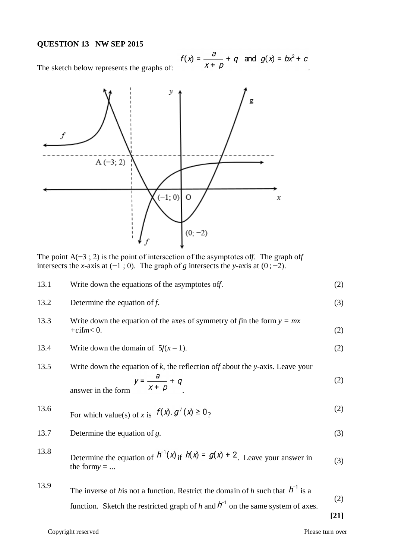#### **QUESTION 13 NW SEP 2015**

$$
f(x) = \frac{a}{x + \rho} + q \quad \text{and} \quad g(x) = bx^2 + c
$$

The sketch below represents the graphs of:



The point A(−3 ; 2) is the point of intersection of the asymptotes of*f*. The graph of*f* intersects the *x*-axis at  $(-1, 0)$ . The graph of *g* intersects the *y*-axis at  $(0, -2)$ .

| 13.1 | Write down the equations of the asymptotes off.                                                                                                                            | (2)           |
|------|----------------------------------------------------------------------------------------------------------------------------------------------------------------------------|---------------|
| 13.2 | Determine the equation of $f$ .                                                                                                                                            | (3)           |
| 13.3 | Write down the equation of the axes of symmetry of fin the form $y = mx$<br>$+ c$ ifm $< 0$ .                                                                              | (2)           |
| 13.4 | Write down the domain of $5f(x - 1)$ .                                                                                                                                     | (2)           |
| 13.5 | Write down the equation of $k$ , the reflection of f about the y-axis. Leave your<br>$y = \frac{a}{x + p} + q$<br>answer in the form                                       | (2)           |
| 13.6 | For which value(s) of x is $f(x)$ . $g'(x) \ge 0$ ?                                                                                                                        | (2)           |
| 13.7 | Determine the equation of $g$ .                                                                                                                                            | (3)           |
| 13.8 | Determine the equation of $h^{-1}(x)$ if $h(x) = g(x) + 2$ . Leave your answer in<br>the formy $= $                                                                        | (3)           |
| 13.9 | The inverse of his not a function. Restrict the domain of h such that $h^{-1}$ is a<br>function. Sketch the restricted graph of h and $h^{-1}$ on the same system of axes. | (2)<br>$[21]$ |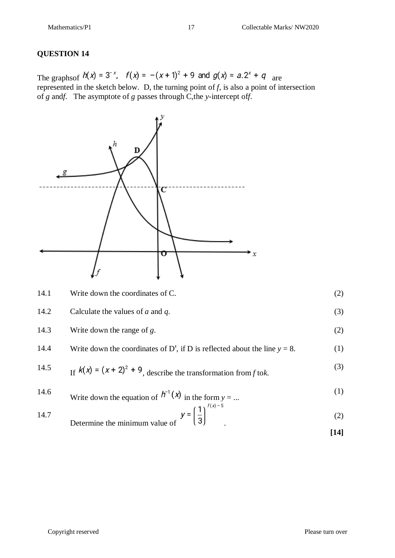#### **QUESTION 14**

The graphs of  $h(x) = 3^{-x}$ ,  $f(x) = -(x+1)^2 + 9$  and  $g(x) = a \cdot 2^x + q$  are represented in the sketch below. D, the turning point of  $f$ , is also a point of intersection of *g* and*f*. The asymptote of *g* passes through C*,*the *y*-intercept of*f*.



14.2 Calculate the values of *a* and *q*. (3)

14.3 Write down the range of *g*. (2)  
\n14.4 Write down the coordinates of D', if D is reflected about the line 
$$
y = 8
$$
. (1)  
\n14.5 If  $k(x) = (x + 2)^2 + 9$ , describe the transformation from *f* to *k*. (3)

14.6 Write down the equation of 
$$
h^{-1}(x)
$$
 in the form  $y = ...$  (1)

14.7 Determine the minimum value of 
$$
y = \left(\frac{1}{3}\right)
$$
 (2)

**[14]**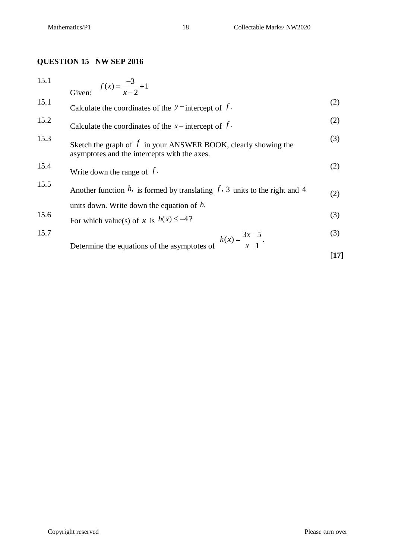#### **QUESTION 15 NW SEP 2016**

| 15.1 | Given: $f(x) = \frac{-3}{x-2} + 1$                                                                               |                   |
|------|------------------------------------------------------------------------------------------------------------------|-------------------|
| 15.1 |                                                                                                                  |                   |
|      | Calculate the coordinates of the $y$ -intercept of $f$ .                                                         | (2)               |
| 15.2 | Calculate the coordinates of the $x$ – intercept of $f$ .                                                        | (2)               |
| 15.3 | Sketch the graph of $f$ in your ANSWER BOOK, clearly showing the<br>asymptotes and the intercepts with the axes. | (3)               |
| 15.4 | Write down the range of $f$ .                                                                                    | (2)               |
| 15.5 | Another function $h$ , is formed by translating $f$ , 3 units to the right and 4                                 | (2)               |
|      | units down. Write down the equation of $h$ .                                                                     |                   |
| 15.6 | For which value(s) of x is $h(x) \le -4$ ?                                                                       | (3)               |
| 15.7 | Determine the equations of the asymptotes of $k(x) = \frac{3x-5}{x-1}$ .                                         | (3)               |
|      |                                                                                                                  | $\left[17\right]$ |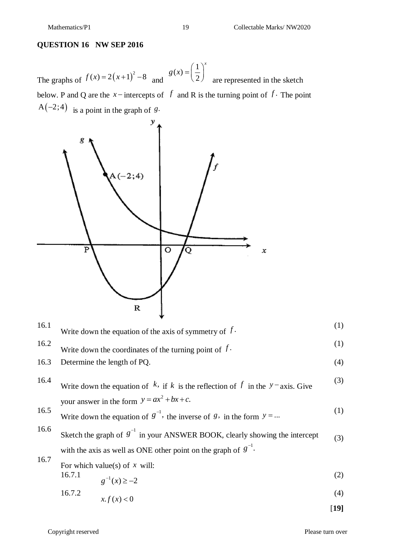#### **QUESTION 16 NW SEP 2016**

The graphs of  $f(x) = 2(x+1)^2 - 8$  and  $f(x) = \frac{1}{2}$ 2 *x*  $g(x) = \left(\frac{1}{2}\right)^x$  are represented in the sketch below. P and Q are the  $x$  – intercepts of  $f$  and R is the turning point of  $f$ . The point  $A(-2, 4)$  is a point in the graph of *g*.



| 16.1 | Write down the equation of the axis of symmetry of $f$ .                                                                                               | (1)  |
|------|--------------------------------------------------------------------------------------------------------------------------------------------------------|------|
| 16.2 | Write down the coordinates of the turning point of $f$ .                                                                                               | (1)  |
| 16.3 | Determine the length of PQ.                                                                                                                            | (4)  |
| 16.4 | Write down the equation of k, if k is the reflection of f in the $y$ -axis. Give                                                                       | (3)  |
| 16.5 | your answer in the form $y = ax^2 + bx + c$ .<br>Write down the equation of $g^{-1}$ , the inverse of 8, in the form $y = $                            | (1)  |
| 16.6 | Sketch the graph of $g^{-1}$ in your ANSWER BOOK, clearly showing the intercept<br>with the axis as well as ONE other point on the graph of $g^{-1}$ . | (3)  |
| 16.7 | For which value(s) of $x$ will:<br>16.7.1<br>$g^{-1}(x) \ge -2$                                                                                        | (2)  |
|      | x.f(x) < 0<br>16.7.2                                                                                                                                   | (4)  |
|      |                                                                                                                                                        | [19] |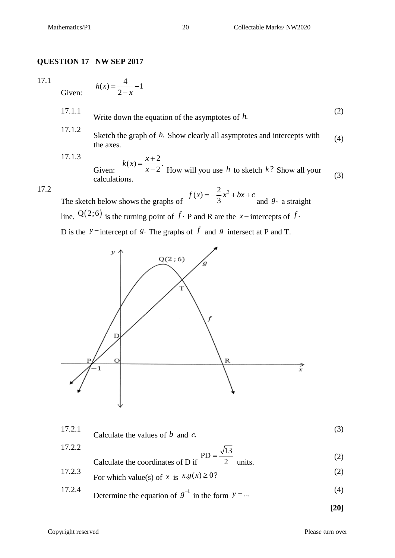#### **QUESTION 17 NW SEP 2017**

2

*x*  $=\frac{1}{2} - 1$  $\overline{\phantom{0}}$ 

#### 17.1

Given:  $f(x) = \frac{4}{2} - 1$  $h(x)$ 

- 17.1.1 Write down the equation of the asymptotes of *h*. (2) 17.1.2
- Sketch the graph of *h*. Show clearly all asymptotes and intercepts with the axes. (4)

17.1.3 Given:  $f(x) = \frac{x+2}{2}$ . 2  $k(x) = \frac{x}{x}$ *x*  $=\frac{x+}{x+1}$  $-2$  How will you use *h* to sketch *k*? Show all your calculations.  $\therefore$   $\therefore$   $\therefore$   $\therefore$   $\therefore$   $\therefore$   $\therefore$   $\therefore$   $\therefore$   $\therefore$   $\therefore$   $\therefore$   $\therefore$   $\therefore$   $\therefore$   $\therefore$   $\therefore$   $\therefore$   $\therefore$   $\therefore$   $\therefore$   $\therefore$   $\therefore$   $\therefore$   $\therefore$   $\therefore$   $\therefore$   $\therefore$   $\therefore$   $\therefore$   $\therefore$   $\therefore$   $\therefore$   $\therefore$   $\there$ 

#### 17.2

The sketch below shows the graphs of  $f(x) = -\frac{2}{3}x^2$ 3  $f(x) = -\frac{2}{3}x^2 + bx + c$  and *g*, a straight line.  $Q(2,6)$  is the turning point of  $f \cdot P$  and R are the *x* – intercepts of  $f \cdot P$ D is the  $y$ <sup>-</sup> intercept of *g*. The graphs of *f* and *g* intersect at P and T.



| 17.2.1 | Calculate the values of $b$ and $c$ .                               |     |
|--------|---------------------------------------------------------------------|-----|
| 17.2.2 | Calculate the coordinates of D if $PD = \frac{\sqrt{13}}{2}$ units. | (2) |
|        |                                                                     |     |
| 17.2.3 | For which value(s) of x is $x.g(x) \ge 0$ ?                         | (2) |
| 17.2.4 | Determine the equation of $g^{-1}$ in the form $y = $               | (4) |

**[20]**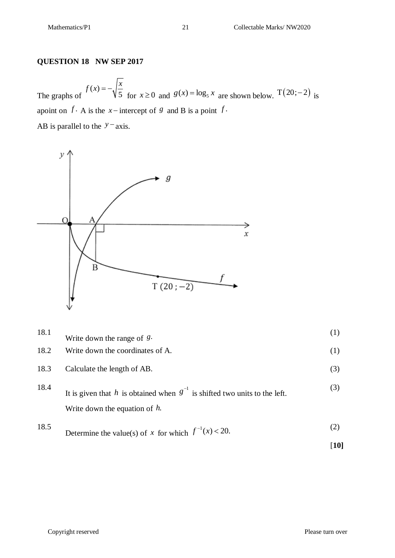#### **QUESTION 18 NW SEP 2017**

The graphs of  $(x)$ 5  $f(x) = -\sqrt{\frac{x}{5}}$ for  $x \ge 0$  and  $g(x) = \log_5 x$  are shown below. T(20;-2) is apoint on  $f \cdot A$  is the *x* – intercept of *g* and B is a point  $f \cdot A$ . AB is parallel to the  $y$ <sup>-</sup> axis.



| 18.1 | Write down the range of $g$ .                                                                                      | (1) |
|------|--------------------------------------------------------------------------------------------------------------------|-----|
| 18.2 | Write down the coordinates of A.                                                                                   | (1) |
| 18.3 | Calculate the length of AB.                                                                                        | (3) |
| 18.4 | It is given that h is obtained when $g^{-1}$ is shifted two units to the left.<br>Write down the equation of $h$ . | (3) |
| 18.5 | Determine the value(s) of x for which $f^{-1}(x) < 20$ .                                                           | (2) |

[**10]**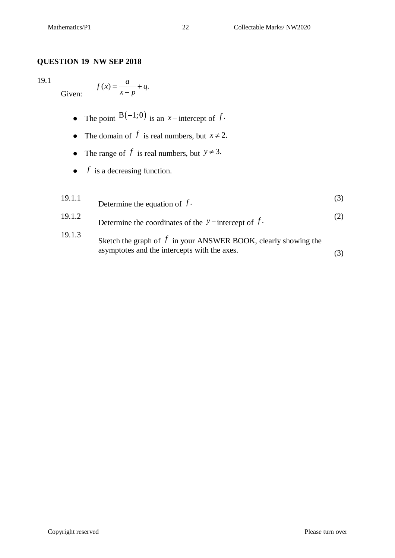#### **QUESTION 19 NW SEP 2018**

#### 19.1

Given:

$$
f(x) = \frac{a}{x - p} + q.
$$

- The point  $B(-1,0)$  is an *x*-intercept of *f*.
- The domain of  $f$  is real numbers, but  $x \neq 2$ .
- The range of  $f$  is real numbers, but  $y \neq 3$ .
- $\bullet$  *f* is a decreasing function.

| 19.1.1 | Determine the equation of $f$ .                                                                                  |     |
|--------|------------------------------------------------------------------------------------------------------------------|-----|
| 19.1.2 | Determine the coordinates of the $y$ – intercept of $f$ .                                                        | (2) |
| 19.1.3 | Sketch the graph of $f$ in your ANSWER BOOK, clearly showing the<br>asymptotes and the intercepts with the axes. |     |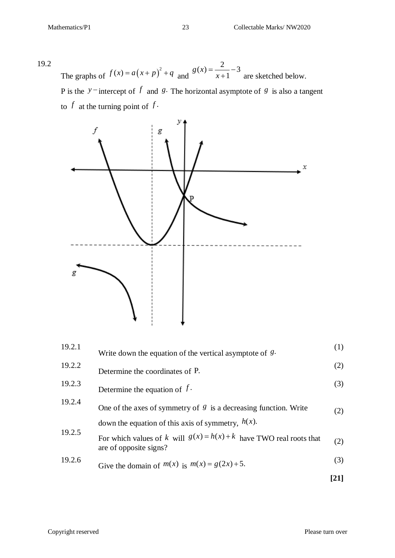19.2 The graphs of  $f(x) = a(x+p)^2 + q$  and  $(x) = \frac{2}{1} - 3$ 1  $g(x)$ *x*  $=-\frac{2}{1}-3$  are sketched below. P is the  $y$ <sup>-</sup> intercept of  $f$  and  $g$ . The horizontal asymptote of  $g$  is also a tangent

to  $f$  at the turning point of  $f$ .



| 19.2.1 | Write down the equation of the vertical asymptote of $g$ .                                      | (1)  |
|--------|-------------------------------------------------------------------------------------------------|------|
| 19.2.2 | Determine the coordinates of P.                                                                 | (2)  |
| 19.2.3 | Determine the equation of $f$ .                                                                 | (3)  |
| 19.2.4 | One of the axes of symmetry of $\mathcal{S}$ is a decreasing function. Write                    | (2)  |
|        | down the equation of this axis of symmetry, $h(x)$ .                                            |      |
| 19.2.5 | For which values of k will $g(x) = h(x) + k$ have TWO real roots that<br>are of opposite signs? | (2)  |
| 19.2.6 | Give the domain of $m(x)$ is $m(x) = g(2x) + 5$ .                                               | (3)  |
|        |                                                                                                 | [21] |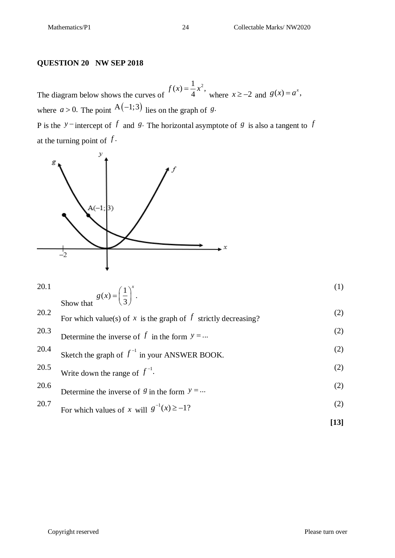#### **QUESTION 20 NW SEP 2018**

The diagram below shows the curves of  $f(x) = \frac{1}{2}x^2$ , 4  $f(x) = \frac{1}{4}x^2$ , where  $x \ge -2$  and  $g(x) = a^x$ , where  $a > 0$ . The point  $A(-1;3)$  lies on the graph of *g*. P is the  $y$ <sup>-</sup> intercept of  $f$  and  $g$ . The horizontal asymptote of  $g$  is also a tangent to  $f$ at the turning point of  $f$ .



$$
20.1 \quad \text{Show that} \quad g(x) = \left(\frac{1}{3}\right)^x. \tag{1}
$$

| 20.2 | For which value(s) of x is the graph of f strictly decreasing? | (2) |
|------|----------------------------------------------------------------|-----|
| 20.3 | Determine the inverse of f in the form $y = $                  | (2) |
| 20.4 | Sketch the graph of $f^{-1}$ in your ANSWER BOOK.              | (2) |
| 20.5 | Write down the range of $f^{-1}$ .                             | (2) |
| 20.6 | Determine the inverse of 8 in the form $y = $                  | (2) |
| 20.7 | For which values of x will $g^{-1}(x) \ge -1$ ?                | (2) |
|      |                                                                |     |

$$
[13]
$$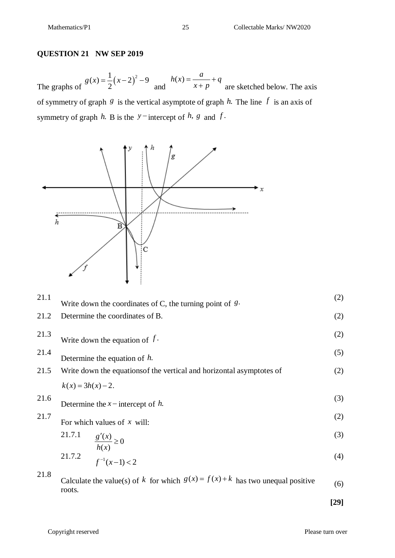#### **QUESTION 21 NW SEP 2019**

The graphs of  $(x-2)^{x}$  $f(x) = \frac{1}{2}(x-2)^2 - 9$ 2  $g(x) = \frac{1}{2}(x-2)^2 - 9$  and  $h(x) = \frac{a}{a} + q$  $x + p$  $=\frac{a}{\sqrt{a}}+\zeta$  $+p$ <sup>1</sup> are sketched below. The axis of symmetry of graph  $g$  is the vertical asymptote of graph  $h$ . The line  $f$  is an axis of symmetry of graph  $h$ . B is the  $y$  -intercept of  $h$ ,  $g$  and  $f$ .



\n- 21.1 Write down the coordinates of C, the turning point of *8*·
\n- 21.2 Determine the coordinates of B.
\n- 21.3 Write down the equation of *f*.
\n- 21.4 Determine the equation of *h*.
\n- 21.5 Write down the equations of the vertical and horizontal asymptotes of 
$$
k(x) = 3h(x) - 2
$$
.
\n- 21.6 Determine the *x* – intercept of *h*.
\n- 21.7 Determine the *x* – intercept of *h*.
\n- 21.7 For which values of *x* will:\n
	\n- 21.7.1
	\n- $\frac{g'(x)}{h(x)} \ge 0$
	\n- 21.7.2
	\n- $f^{-1}(x-1) < 2$
	\n\n
\n- 21.8 Calculate the value(s) of *k* for which  $g(x) = f(x) + k$  has two unequal positive roots.
\n

**[29]**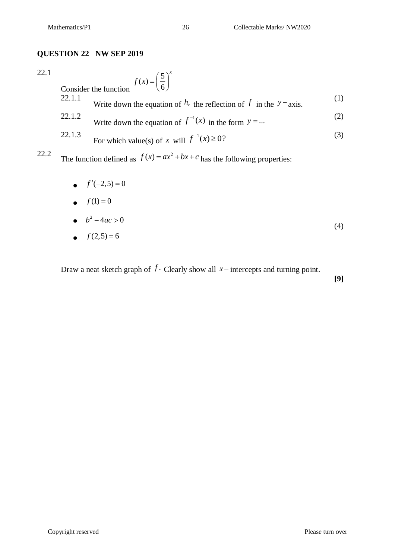#### **QUESTION 22 NW SEP 2019**

| 22.1 |                                 | $f(x) = \left(\frac{5}{6}\right)^{x}$                                        |     |
|------|---------------------------------|------------------------------------------------------------------------------|-----|
|      | Consider the function<br>22.1.1 |                                                                              | (1) |
|      |                                 | Write down the equation of h, the reflection of f in the $y$ – axis.         |     |
|      | 22.1.2                          | Write down the equation of $f^{-1}(x)$ in the form $y = $                    | (2) |
|      | 22.1.3                          | For which value(s) of x will $f^{-1}(x) \ge 0$ ?                             | (3) |
| 22.2 |                                 | The function defined as $f(x) = ax^2 + bx + c$ has the following properties: |     |
|      |                                 | $f'(-2,5) = 0$                                                               |     |
|      |                                 | • $f(1) = 0$                                                                 |     |

 $b^2 - 4ac > 0$ (4)

$$
\bullet \quad f(2,5) = 6
$$

Draw a neat sketch graph of  $f$ . Clearly show all  $x$  – intercepts and turning point.

**[9]**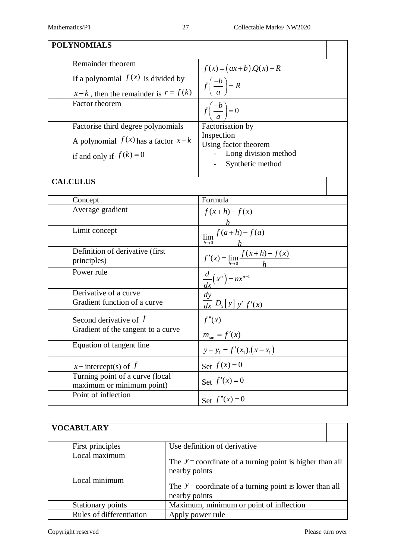| <b>POLYNOMIALS</b>    |                                                              |                                                                  |  |
|-----------------------|--------------------------------------------------------------|------------------------------------------------------------------|--|
| Remainder theorem     |                                                              | $f(x) = (ax+b).Q(x)+R$                                           |  |
|                       | If a polynomial $f(x)$ is divided by                         |                                                                  |  |
|                       | $x-k$ , then the remainder is $r = f(k)$                     | $f\left(\frac{-b}{a}\right) = R$                                 |  |
| Factor theorem        |                                                              | $f\left(\frac{-b}{a}\right)=0$                                   |  |
|                       | Factorise third degree polynomials                           | Factorisation by                                                 |  |
|                       | A polynomial $f(x)$ has a factor $x-k$                       | Inspection<br>Using factor theorem                               |  |
|                       | if and only if $f(k) = 0$                                    | Long division method                                             |  |
|                       |                                                              | - Synthetic method                                               |  |
| <b>CALCULUS</b>       |                                                              |                                                                  |  |
| Concept               |                                                              | Formula                                                          |  |
| Average gradient      |                                                              |                                                                  |  |
| Limit concept         |                                                              | $\frac{f(x+h)-f(x)}{h}$<br>$\lim_{h\to 0} \frac{f(a+h)-f(a)}{h}$ |  |
| principles)           | Definition of derivative (first                              | $f'(x) = \lim_{h \to 0} \frac{f(x+h) - f(x)}{h}$                 |  |
| Power rule            |                                                              | $\frac{d}{dx}(x^n) = nx^{n-1}$                                   |  |
| Derivative of a curve | Gradient function of a curve                                 | $\frac{dy}{dx} D_x[y] y' f'(x)$                                  |  |
|                       | Second derivative of $f$                                     | f''(x)                                                           |  |
|                       | Gradient of the tangent to a curve                           | $m_{\text{tan}} = f'(x)$                                         |  |
|                       | Equation of tangent line                                     | $y - y_1 = f'(x_1) \cdot (x - x_1)$                              |  |
| x-intercept(s) of $f$ |                                                              | Set $f(x) = 0$                                                   |  |
|                       | Turning point of a curve (local<br>maximum or minimum point) | Set $f'(x) = 0$                                                  |  |
| Point of inflection   |                                                              | Set $f''(x) = 0$                                                 |  |

| <b>VOCABULARY</b>        |                                                                                       |
|--------------------------|---------------------------------------------------------------------------------------|
| First principles         | Use definition of derivative                                                          |
| Local maximum            | The $y$ – coordinate of a turning point is higher than all<br>nearby points           |
| Local minimum            | The $y$ <sup>-</sup> coordinate of a turning point is lower than all<br>nearby points |
| Stationary points        | Maximum, minimum or point of inflection                                               |
| Rules of differentiation | Apply power rule                                                                      |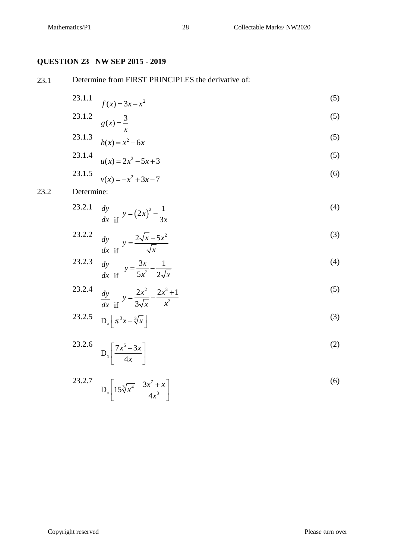#### **QUESTION 23 NW SEP 2015 - 2019**

23.1 Determine from FIRST PRINCIPLES the derivative of:

23.1.1 
$$
f(x) = 3x - x^2
$$
 (5)

23.1.2 
$$
g(x) = \frac{3}{x}
$$
 (5)

23.1.3 
$$
h(x) = x^2 - 6x
$$
 (5)

23.1.4 
$$
u(x) = 2x^2 - 5x + 3
$$
 (5)

23.1.5 
$$
v(x) = -x^2 + 3x - 7
$$
 (6)

#### 23.2 Determine:

23.2.1 
$$
\frac{dy}{dx}
$$
 if  $y = (2x)^2 - \frac{1}{3x}$  (4)

23.2.2 
$$
\frac{dy}{dx}
$$
 if  $y = \frac{2\sqrt{x} - 5x^2}{\sqrt{x}}$  (3)

23.2.3 
$$
\frac{dy}{dx}
$$
  $y = \frac{3x}{5x^2} - \frac{1}{2\sqrt{x}}$  (4)

23.2.4 
$$
\frac{dy}{dx} = \frac{2x^2}{3\sqrt{x}} - \frac{2x^3 + 1}{x^3}
$$
 (5)

$$
23.2.5 \quad D_x \left[ \pi^3 x - \sqrt[3]{x} \right] \tag{3}
$$

$$
D_x \left[ \frac{7x^5 - 3x}{4x} \right] \tag{2}
$$

$$
D_x \left[ 15\sqrt[3]{x^4} - \frac{3x^7 + x}{4x^3} \right]
$$
 (6)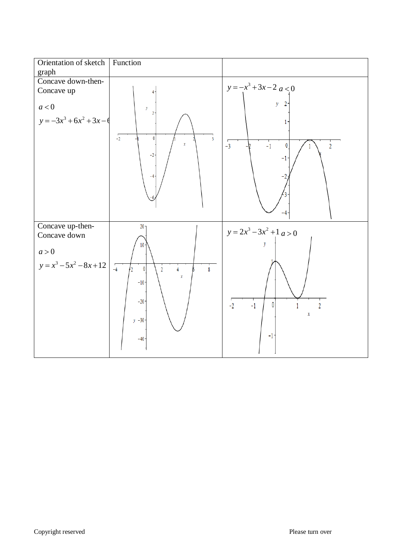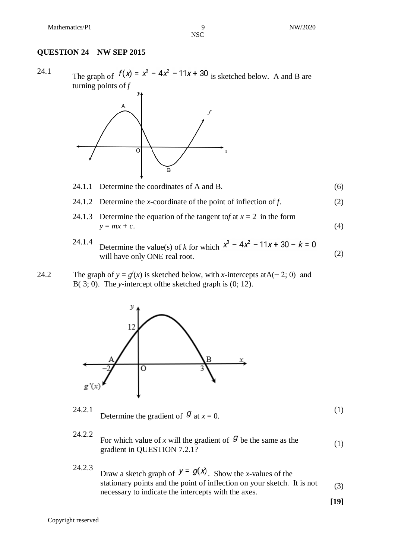NSC

#### **QUESTION 24 NW SEP 2015**

24.1 The graph of  $f(x) = x^3 - 4x^2 - 11x + 30$  is sketched below. A and B are turning points of *f*



#### 24.1.1 Determine the coordinates of A and B.  $(6)$

- 24.1.2 Determine the *x*-coordinate of the point of inflection of *f*. (2)
- 24.1.3 Determine the equation of the tangent tof at  $x = 2$  in the form  $y = mx + c.$  (4)
- 24.1.4 Determine the value(s) of *<sup>k</sup>* for which  $\frac{1}{2}$  becomes the value (2)  $\frac{1}{2}$  will have only ONE real root. (2)
- 24.2 The graph of  $y = g'(x)$  is sketched below, with *x*-intercepts atA(−2; 0) and B( 3; 0). The *y*-intercept ofthe sketched graph is (0; 12).



- 24.2.1 Determine the gradient of  $\mathcal{G}$  at  $x = 0$ . (1)
- 24.2.2
	- For which value of x will the gradient of  $\mathcal{G}$  be the same as the gradient in QUESTION 7.2.1? (1)
- 24.2.3 Draw a sketch graph of  $y = g(x)$ . Show the *x*-values of the stationary points and the point of inflection on your sketch. It is not necessary to indicate the intercepts with the axes. (3)

**[19]**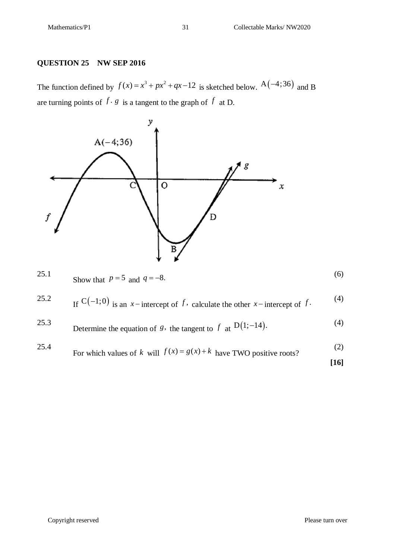#### **QUESTION 25 NW SEP 2016**

The function defined by  $f(x) = x^3 + px^2 + qx - 12$  is sketched below.  $A(-4;36)$  and B are turning points of  $f \cdot g$  is a tangent to the graph of  $f$  at D.

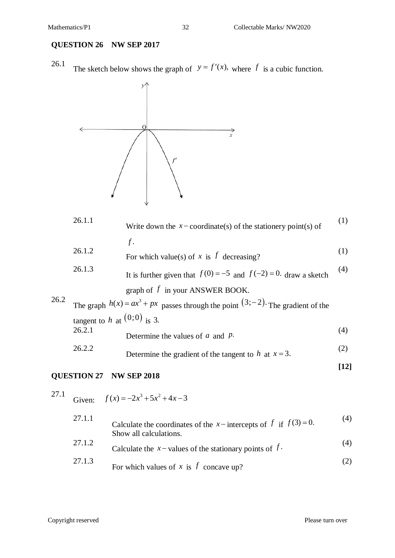#### **QUESTION 26 NW SEP 2017**

26.1 The sketch below shows the graph of  $y = f'(x)$ , where f is a cubic function.



|      | 26.1.1                        | Write down the $x$ – coordinate(s) of the stationery point(s) of                      | (1) |
|------|-------------------------------|---------------------------------------------------------------------------------------|-----|
|      |                               | $f$ .                                                                                 |     |
|      | 26.1.2                        | For which value(s) of x is $f$ decreasing?                                            | (1) |
|      | 26.1.3                        | It is further given that $f(0) = -5$ and $f(-2) = 0$ . draw a sketch                  | (4) |
| 26.2 |                               | graph of $f$ in your ANSWER BOOK.                                                     |     |
|      |                               | The graph $h(x) = ax^3 + px$ passes through the point $(3, -2)$ . The gradient of the |     |
|      | tangent to h at $(0,0)$ is 3. |                                                                                       |     |
|      | 26.2.1                        | Determine the values of $a$ and $p$ .                                                 | (4) |
|      | 26.2.2                        | Determine the gradient of the tangent to h at $x = 3$ .                               | (2) |

#### **QUESTION 27 NW SEP 2018**

#### 27.1

Given:  $f(x) = -2x^3 + 5x^2 + 4x - 3$ 

| 27.1.1 | Calculate the coordinates of the x-intercepts of f if $f(3)=0$ .<br>Show all calculations. | (4) |
|--------|--------------------------------------------------------------------------------------------|-----|
| 27.1.2 | Calculate the $x$ – values of the stationary points of $f$ .                               | (4) |
| 27.1.3 | For which values of x is f concave up?                                                     | (2) |

**[12]**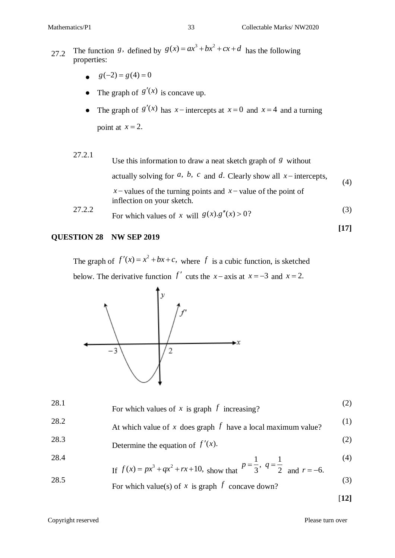- 27.2 The function *g*, defined by  $g(x) = ax^3 + bx^2 + cx + d$  has the following properties:
	- $g(-2) = g(4) = 0$
	- The graph of  $g'(x)$  is concave up.
	- The graph of  $g'(x)$  has  $x$  intercepts at  $x=0$  and  $x=4$  and a turning point at  $x = 2$ .

| 27.2.1 | Use this information to draw a neat sketch graph of $\beta$ without                            |     |
|--------|------------------------------------------------------------------------------------------------|-----|
|        | actually solving for $a$ , $b$ , $c$ and $d$ . Clearly show all $x$ -intercepts,               | (4) |
|        | x – values of the turning points and $x$ – value of the point of<br>inflection on your sketch. |     |
| 27.2.2 | For which values of x will $g(x) \tcdot g''(x) > 0$ ?                                          | (3) |

#### **QUESTION 28 NW SEP 2019**

The graph of  $f'(x) = x^2 + bx + c$ , where f is a cubic function, is sketched below. The derivative function  $f'$  cuts the  $x - axis$  at  $x = -3$  and  $x = 2$ .



| 28.1 | For which values of x is graph $f$ increasing?                                                                                                           |     |
|------|----------------------------------------------------------------------------------------------------------------------------------------------------------|-----|
| 28.2 | At which value of x does graph $f$ have a local maximum value?                                                                                           | (1) |
| 28.3 | Determine the equation of $f'(x)$ .                                                                                                                      | (2) |
| 28.4 |                                                                                                                                                          | (4) |
| 28.5 | If $f(x) = px^3 + qx^2 + rx + 10$ , show that $p = \frac{1}{3}$ , $q = \frac{1}{2}$ and $r = -6$ .<br>For which value(s) of x is graph $f$ concave down? | (3) |

[**12]**

**[17]**